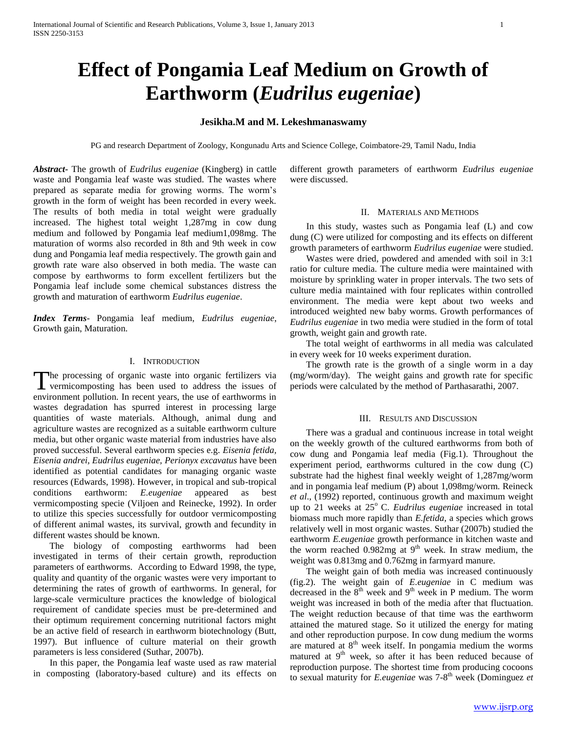# **Effect of Pongamia Leaf Medium on Growth of Earthworm (***Eudrilus eugeniae***)**

## **Jesikha.M and M. Lekeshmanaswamy**

PG and research Department of Zoology, Kongunadu Arts and Science College, Coimbatore-29, Tamil Nadu, India

*Abstract***-** The growth of *Eudrilus eugeniae* (Kingberg) in cattle waste and Pongamia leaf waste was studied. The wastes where prepared as separate media for growing worms. The worm's growth in the form of weight has been recorded in every week. The results of both media in total weight were gradually increased. The highest total weight 1,287mg in cow dung medium and followed by Pongamia leaf medium1,098mg. The maturation of worms also recorded in 8th and 9th week in cow dung and Pongamia leaf media respectively. The growth gain and growth rate ware also observed in both media. The waste can compose by earthworms to form excellent fertilizers but the Pongamia leaf include some chemical substances distress the growth and maturation of earthworm *Eudrilus eugeniae*.

*Index Terms*- Pongamia leaf medium, *Eudrilus eugeniae*, Growth gain, Maturation.

### I. INTRODUCTION

The processing of organic waste into organic fertilizers via The processing of organic waste into organic fertilizers via vermicomposting has been used to address the issues of environment pollution. In recent years, the use of earthworms in wastes degradation has spurred interest in processing large quantities of waste materials. Although, animal dung and agriculture wastes are recognized as a suitable earthworm culture media, but other organic waste material from industries have also proved successful. Several earthworm species e.g. *Eisenia fetida, Eisenia andrei, Eudrilus eugeniae, Perionyx excavatus* have been identified as potential candidates for managing organic waste resources (Edwards, 1998). However, in tropical and sub-tropical conditions earthworm: *E.eugeniae* appeared as best vermicomposting specie (Viljoen and Reinecke, 1992). In order to utilize this species successfully for outdoor vermicomposting of different animal wastes, its survival, growth and fecundity in different wastes should be known.

 The biology of composting earthworms had been investigated in terms of their certain growth, reproduction parameters of earthworms. According to Edward 1998, the type, quality and quantity of the organic wastes were very important to determining the rates of growth of earthworms. In general, for large-scale vermiculture practices the knowledge of biological requirement of candidate species must be pre-determined and their optimum requirement concerning nutritional factors might be an active field of research in earthworm biotechnology (Butt, 1997). But influence of culture material on their growth parameters is less considered (Suthar, 2007b).

 In this paper, the Pongamia leaf waste used as raw material in composting (laboratory-based culture) and its effects on

different growth parameters of earthworm *Eudrilus eugeniae* were discussed.

#### II. MATERIALS AND METHODS

 In this study, wastes such as Pongamia leaf (L) and cow dung (C) were utilized for composting and its effects on different growth parameters of earthworm *Eudrilus eugeniae* were studied.

 Wastes were dried, powdered and amended with soil in 3:1 ratio for culture media. The culture media were maintained with moisture by sprinkling water in proper intervals. The two sets of culture media maintained with four replicates within controlled environment. The media were kept about two weeks and introduced weighted new baby worms. Growth performances of *Eudrilus eugeniae* in two media were studied in the form of total growth, weight gain and growth rate.

 The total weight of earthworms in all media was calculated in every week for 10 weeks experiment duration.

 The growth rate is the growth of a single worm in a day (mg/worm/day). The weight gains and growth rate for specific periods were calculated by the method of Parthasarathi, 2007.

#### III. RESULTS AND DISCUSSION

 There was a gradual and continuous increase in total weight on the weekly growth of the cultured earthworms from both of cow dung and Pongamia leaf media (Fig.1). Throughout the experiment period, earthworms cultured in the cow dung (C) substrate had the highest final weekly weight of 1,287mg/worm and in pongamia leaf medium (P) about 1,098mg/worm. Reineck *et al*., (1992) reported, continuous growth and maximum weight up to 21 weeks at 25<sup>°</sup> C. *Eudrilus eugeniae* increased in total biomass much more rapidly than *E.fetida,* a species which grows relatively well in most organic wastes. Suthar (2007b) studied the earthworm *E.eugeniae* growth performance in kitchen waste and the worm reached  $0.982mg$  at  $9<sup>th</sup>$  week. In straw medium, the weight was 0.813mg and 0.762mg in farmyard manure.

 The weight gain of both media was increased continuously (fig.2). The weight gain of *E.eugeniae* in C medium was decreased in the  $8<sup>th</sup>$  week and  $9<sup>th</sup>$  week in P medium. The worm weight was increased in both of the media after that fluctuation. The weight reduction because of that time was the earthworm attained the matured stage. So it utilized the energy for mating and other reproduction purpose. In cow dung medium the worms are matured at 8<sup>th</sup> week itself. In pongamia medium the worms matured at 9<sup>th</sup> week, so after it has been reduced because of reproduction purpose. The shortest time from producing cocoons to sexual maturity for *E.eugeniae* was 7-8 th week (Dominguez *et*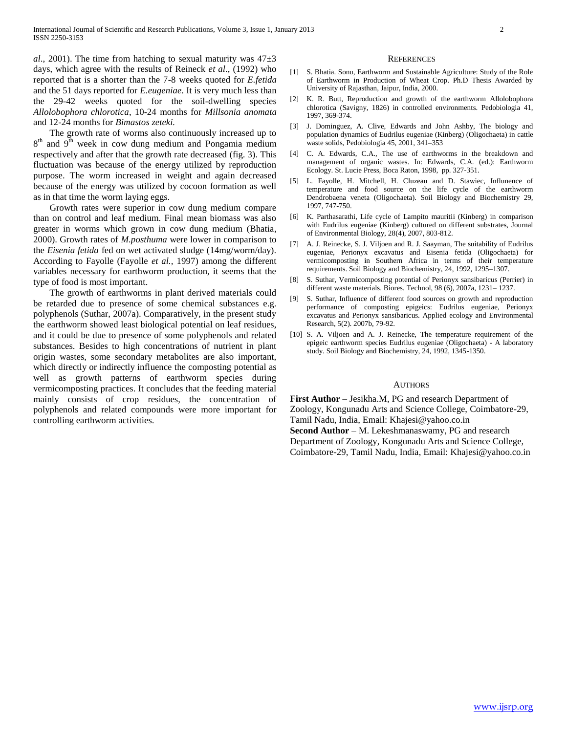*al.*, 2001). The time from hatching to sexual maturity was  $47\pm3$ days, which agree with the results of Reineck *et al*., (1992) who reported that is a shorter than the 7-8 weeks quoted for *E.fetida* and the 51 days reported for *E.eugeniae*. It is very much less than the 29-42 weeks quoted for the soil-dwelling species *Allolobophora chlorotica*, 10-24 months for *Millsonia anomata* and 12-24 months for *Bimastos zeteki.*

 The growth rate of worms also continuously increased up to  $8<sup>th</sup>$  and  $9<sup>th</sup>$  week in cow dung medium and Pongamia medium respectively and after that the growth rate decreased (fig. 3). This fluctuation was because of the energy utilized by reproduction purpose. The worm increased in weight and again decreased because of the energy was utilized by cocoon formation as well as in that time the worm laying eggs.

 Growth rates were superior in cow dung medium compare than on control and leaf medium. Final mean biomass was also greater in worms which grown in cow dung medium (Bhatia, 2000). Growth rates of *M.posthuma* were lower in comparison to the *Eisenia fetida* fed on wet activated sludge (14mg/worm/day). According to Fayolle (Fayolle *et al.,* 1997) among the different variables necessary for earthworm production, it seems that the type of food is most important.

 The growth of earthworms in plant derived materials could be retarded due to presence of some chemical substances e.g. polyphenols (Suthar, 2007a). Comparatively, in the present study the earthworm showed least biological potential on leaf residues, and it could be due to presence of some polyphenols and related substances. Besides to high concentrations of nutrient in plant origin wastes, some secondary metabolites are also important, which directly or indirectly influence the composting potential as well as growth patterns of earthworm species during vermicomposting practices. It concludes that the feeding material mainly consists of crop residues, the concentration of polyphenols and related compounds were more important for controlling earthworm activities.

#### **REFERENCES**

- [1] S. Bhatia. Sonu, Earthworm and Sustainable Agriculture: Study of the Role of Earthworm in Production of Wheat Crop. Ph.D Thesis Awarded by University of Rajasthan, Jaipur, India, 2000.
- [2] K. R. Butt, Reproduction and growth of the earthworm Allolobophora chlorotica (Savigny, 1826) in controlled environments. Pedobiologia 41, 1997, 369-374.
- [3] J. Dominguez, A. Clive, Edwards and John Ashby, The biology and population dynamics of Eudrilus eugeniae (Kinberg) (Oligochaeta) in cattle waste solids, Pedobiologia 45, 2001, 341–353
- [4] C. A. Edwards, C.A., The use of earthworms in the breakdown and management of organic wastes. In: Edwards, C.A. (ed.): Earthworm Ecology. St. Lucie Press, Boca Raton, 1998, pp. 327-351.
- [5] L. Fayolle, H. Mitchell, H. Cluzeau and D. Stawiec, Influnence of temperature and food source on the life cycle of the earthworm Dendrobaena veneta (Oligochaeta). Soil Biology and Biochemistry 29, 1997, 747-750.
- [6] K. Parthasarathi, Life cycle of Lampito mauritii (Kinberg) in comparison with Eudrilus eugeniae (Kinberg) cultured on different substrates, Journal of Environmental Biology, 28(4), 2007, 803-812.
- [7] A. J. Reinecke, S. J. Viljoen and R. J. Saayman, The suitability of Eudrilus eugeniae, Perionyx excavatus and Eisenia fetida (Oligochaeta) for vermicomposting in Southern Africa in terms of their temperature requirements. Soil Biology and Biochemistry, 24, 1992, 1295–1307.
- [8] S. Suthar, Vermicomposting potential of Perionyx sansibaricus (Perrier) in different waste materials. Biores. Technol, 98 (6), 2007a, 1231– 1237.
- [9] S. Suthar, Influence of different food sources on growth and reproduction performance of composting epigeics: Eudrilus eugeniae, Perionyx excavatus and Perionyx sansibaricus. Applied ecology and Environmental Research, 5(2). 2007b, 79-92.
- [10] S. A. Viljoen and A. J. Reinecke, The temperature requirement of the epigeic earthworm species Eudrilus eugeniae (Oligochaeta) - A laboratory study. Soil Biology and Biochemistry, 24, 1992, 1345-1350.

#### **AUTHORS**

**First Author** – Jesikha.M, PG and research Department of Zoology, Kongunadu Arts and Science College, Coimbatore-29, Tamil Nadu, India, Email: Khajesi@yahoo.co.in **Second Author** – M. Lekeshmanaswamy, PG and research Department of Zoology, Kongunadu Arts and Science College, Coimbatore-29, Tamil Nadu, India, Email: Khajesi@yahoo.co.in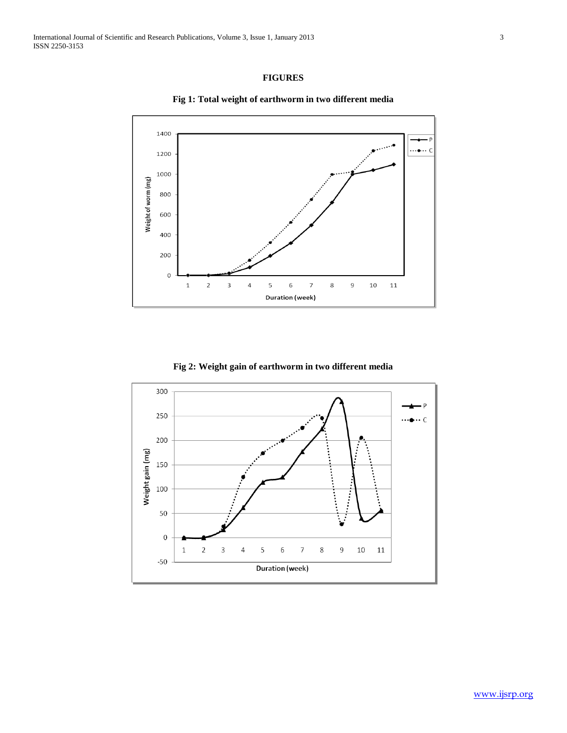# **FIGURES**



**Fig 1: Total weight of earthworm in two different media**

## **Fig 2: Weight gain of earthworm in two different media**